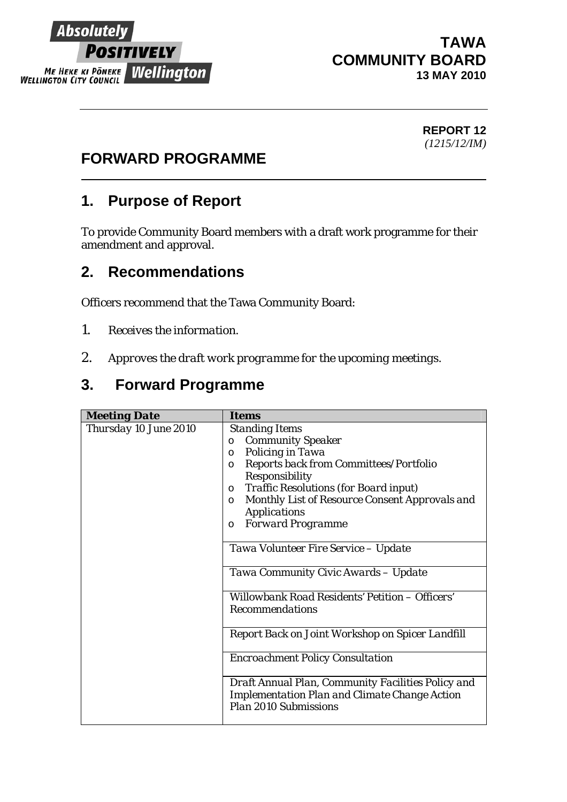

#### **TAWA COMMUNITY BOARD 13 MAY 2010**

#### **REPORT 12**  *(1215/12/IM)*

# **FORWARD PROGRAMME**

## **1. Purpose of Report**

To provide Community Board members with a draft work programme for their amendment and approval.

### **2. Recommendations**

Officers recommend that the Tawa Community Board:

- *1. Receives the information.*
- *2. Approves the draft work programme for the upcoming meetings.*

# **3. Forward Programme**

| <b>Meeting Date</b>   | <i>Items</i>                                                                                                                                                                                                                                                                                                                                                                                     |
|-----------------------|--------------------------------------------------------------------------------------------------------------------------------------------------------------------------------------------------------------------------------------------------------------------------------------------------------------------------------------------------------------------------------------------------|
| Thursday 10 June 2010 | <b>Standing Items</b><br><b>Community Speaker</b><br>$\circ$<br>Policing in Tawa<br>$\circ$<br>Reports back from Committees/Portfolio<br>$\circ$<br>Responsibility<br><b>Traffic Resolutions (for Board input)</b><br>$\circ$<br>Monthly List of Resource Consent Approvals and<br>$\circ$<br><b>Applications</b><br><b>Forward Programme</b><br>$\circ$<br>Tawa Volunteer Fire Service - Update |
|                       | Tawa Community Civic Awards - Update<br>Willowbank Road Residents' Petition - Officers'<br><b>Recommendations</b>                                                                                                                                                                                                                                                                                |
|                       | Report Back on Joint Workshop on Spicer Landfill                                                                                                                                                                                                                                                                                                                                                 |
|                       | <b>Encroachment Policy Consultation</b>                                                                                                                                                                                                                                                                                                                                                          |
|                       | Draft Annual Plan, Community Facilities Policy and<br><b>Implementation Plan and Climate Change Action</b><br>Plan 2010 Submissions                                                                                                                                                                                                                                                              |